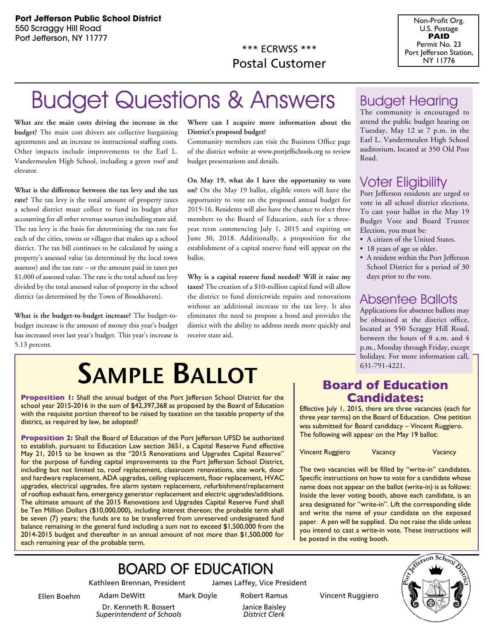\*\*\* ECRWSS \*\*\* Postal Customer



## **Budget Questions & Answers** Budget Hearing

**What are the main costs driving the increase in the budget?** The main cost drivers are collective bargaining agreements and an increase to instructional staffing costs. Other impacts include improvements to the Earl L. Vandermeulen High School, including a green roof and elevator.

**What is the difference between the tax levy and the tax rate?** The tax levy is the total amount of property taxes a school district must collect to fund its budget after accounting for all other revenue sources including state aid. The tax levy is the basis for determining the tax rate for each of the cities, towns or villages that makes up a school district. The tax bill continues to be calculated by using a property's assessed value (as determined by the local town assessor) and the tax rate – or the amount paid in taxes per \$1,000 of assessed value. The rate is the total school tax levy divided by the total assessed value of property in the school district (as determined by the Town of Brookhaven).

**What is the budget-to-budget increase?** The budget-tobudget increase is the amount of money this year's budget has increased over last year's budget. This year's increase is 5.13 percent.

### **Where can I acquire more information about the District's proposed budget?**

Community members can visit the Business Office page of the district website at www.portjeffschools.org to review budget presentations and details.

**On May 19, what do I have the opportunity to vote on?** On the May 19 ballot, eligible voters will have the opportunity to vote on the proposed annual budget for 2015-16. Residents will also have the chance to elect three members to the Board of Education, each for a threeyear term commencing July 1, 2015 and expiring on June 30, 2018. Additionally, a proposition for the establishment of a capital reserve fund will appear on the ballot.

**Why is a capital reserve fund needed? Will it raise my taxes?** The creation of a \$10-million capital fund will allow the district to fund districtwide repairs and renovations without an additional increase to the tax levy. It also eliminates the need to propose a bond and provides the district with the ability to address needs more quickly and receive state aid.

The community is encouraged to attend the public budget hearing on Tuesday, May 12 at 7 p.m. in the Earl L. Vandermeulen High School auditorium, located at 350 Old Post Road.

### Voter Eligibility

Port Jefferson residents are urged to vote in all school district elections. To cast your ballot in the May 19 Budget Vote and Board Trustee Election, you must be:

- A citizen of the United States.
- 18 years of age or older.
- A resident within the Port Jefferson School District for a period of 30 days prior to the vote.

### Absentee Ballots

Applications for absentee ballots may be obtained at the district office, located at 550 Scraggy Hill Road, between the hours of 8 a.m. and 4 p.m., Monday through Friday, except holidays. For more information call,

# **SAMPLE BALLOT Board of Education**

**Proposition 1:** Shall the annual budget of the Port Jefferson School District for the school year 2015-2016 in the sum of \$42,397,368 as proposed by the Board of Education with the requisite portion thereof to be raised by taxation on the taxable property of the district, as required by law, be adopted?

**Proposition 2:** Shall the Board of Education of the Port Jefferson UFSD be authorized to establish, pursuant to Education Law section 3651, a Capital Reserve Fund effective May 21, 2015 to be known as the "2015 Renovations and Upgrades Capital Reserve" for the purpose of funding capital improvements to the Port Jefferson School District, including but not limited to, roof replacement, classroom renovations, site work, door and hardware replacement, ADA upgrades, ceiling replacement, floor replacement, HVAC upgrades, electrical upgrades, fire alarm system replacement, refurbishment/replacement of rooftop exhaust fans, emergency generator replacement and electric upgrades/additions. The ultimate amount of the 2015 Renovations and Upgrades Capital Reserve Fund shall be Ten Million Dollars (\$10,000,000), including interest thereon; the probable term shall be seven (7) years; the funds are to be transferred from unreserved undesignated fund balance remaining in the general fund including a sum not to exceed \$1,500,000 from the 2014-2015 budget and thereafter in an annual amount of not more than \$1,500,000 for each remaining year of the probable term.

## **Candidates:**

Effective July 1, 2015, there are three vacancies (each for three year terms) on the Board of Education. One petition was submitted for Board candidacy – Vincent Ruggiero. The following will appear on the May 19 ballot:

Vincent Ruggiero Vacancy Vacancy

The two vacancies will be filled by "write-in" candidates. Specific instructions on how to vote for a candidate whose name does not appear on the ballot (write-in) is as follows: Inside the lever voting booth, above each candidate, is an area designated for "write-in". Lift the corresponding slide and write the name of your candidate on the exposed paper. A pen will be supplied. Do not raise the slide unless you intend to cast a write-in vote. These instructions will be posted in the voting booth.

### Board of Education

Kathleen Brennan, President James Laffey, Vice President

*District Clerk* 



Dr. Kenneth R. Bossert *Superintendent of Schools* Janice Baisley

Ellen Boehm Adam DeWitt Mark Doyle Robert Ramus Vincent Ruggiero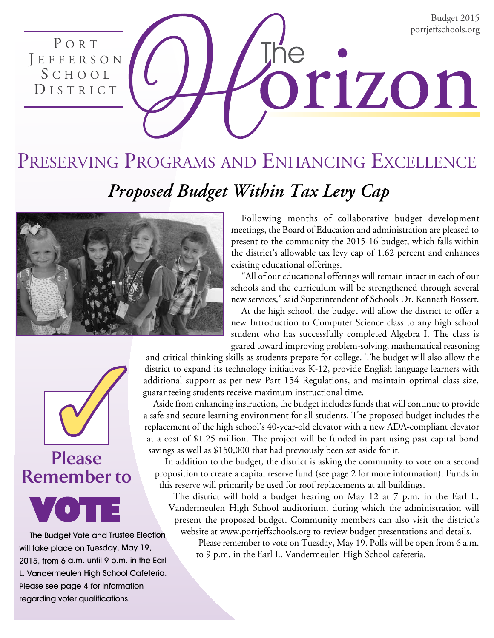Budget 2015 portjeffschools.org

Preserving Programs and Enhancing Excellence *Proposed Budget Within Tax Levy Cap*





PORT

J E F F E R S O N S c h o o l DISTRICT



The Budget Vote and Trustee Election will take place on Tuesday, May 19, 2015, from 6 a.m. until 9 p.m. in the Earl L. Vandermeulen High School Cafeteria. Please see page 4 for information regarding voter qualifications.

Following months of collaborative budget development meetings, the Board of Education and administration are pleased to present to the community the 2015-16 budget, which falls within the district's allowable tax levy cap of 1.62 percent and enhances existing educational offerings.

orizon

"All of our educational offerings will remain intact in each of our schools and the curriculum will be strengthened through several new services," said Superintendent of Schools Dr. Kenneth Bossert.

At the high school, the budget will allow the district to offer a new Introduction to Computer Science class to any high school student who has successfully completed Algebra I. The class is geared toward improving problem-solving, mathematical reasoning

and critical thinking skills as students prepare for college. The budget will also allow the district to expand its technology initiatives K-12, provide English language learners with additional support as per new Part 154 Regulations, and maintain optimal class size, guaranteeing students receive maximum instructional time.

Aside from enhancing instruction, the budget includes funds that will continue to provide a safe and secure learning environment for all students. The proposed budget includes the replacement of the high school's 40-year-old elevator with a new ADA-compliant elevator at a cost of \$1.25 million. The project will be funded in part using past capital bond savings as well as \$150,000 that had previously been set aside for it.

 In addition to the budget, the district is asking the community to vote on a second proposition to create a capital reserve fund (see page 2 for more information). Funds in this reserve will primarily be used for roof replacements at all buildings.

The district will hold a budget hearing on May 12 at 7 p.m. in the Earl L. Vandermeulen High School auditorium, during which the administration will present the proposed budget. Community members can also visit the district's website at www.portjeffschools.org to review budget presentations and details.

Please remember to vote on Tuesday, May 19. Polls will be open from 6 a.m. to 9 p.m. in the Earl L. Vandermeulen High School cafeteria.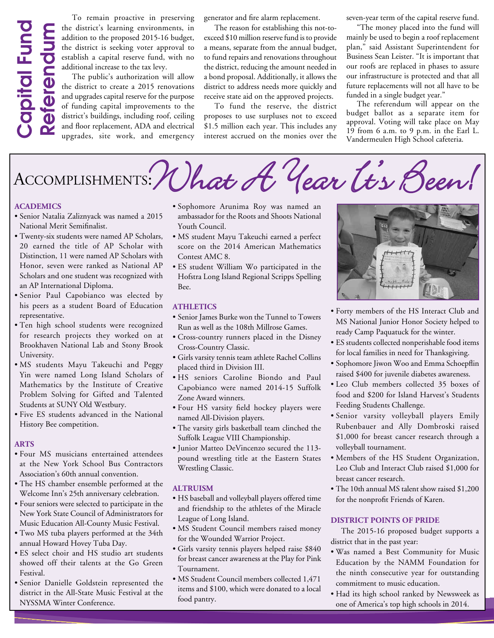# Capital Fund Capital Fund ReferendumReferendum

To remain proactive in preserving the district's learning environments, in addition to the proposed 2015-16 budget, the district is seeking voter approval to establish a capital reserve fund, with no additional increase to the tax levy.

The public's authorization will allow the district to create a 2015 renovations and upgrades capital reserve for the purpose of funding capital improvements to the district's buildings, including roof, ceiling and floor replacement, ADA and electrical upgrades, site work, and emergency

generator and fire alarm replacement.

The reason for establishing this not-toexceed \$10 million reserve fund is to provide a means, separate from the annual budget, to fund repairs and renovations throughout the district, reducing the amount needed in a bond proposal. Additionally, it allows the district to address needs more quickly and receive state aid on the approved projects.

To fund the reserve, the district proposes to use surpluses not to exceed \$1.5 million each year. This includes any interest accrued on the monies over the seven-year term of the capital reserve fund.

"The money placed into the fund will mainly be used to begin a roof replacement plan," said Assistant Superintendent for Business Sean Leister. "It is important that our roofs are replaced in phases to assure our infrastructure is protected and that all future replacements will not all have to be funded in a single budget year."

The referendum will appear on the budget ballot as a separate item for approval. Voting will take place on May 19 from 6 a.m. to 9 p.m. in the Earl L. Vandermeulen High School cafeteria.



### **Academics**

- Senior Natalia Zaliznyack was named a 2015 National Merit Semifinalist.
- Twenty-six students were named AP Scholars, 20 earned the title of AP Scholar with Distinction, 11 were named AP Scholars with Honor, seven were ranked as National AP Scholars and one student was recognized with an AP International Diploma.
- Senior Paul Capobianco was elected by his peers as a student Board of Education representative.
- Ten high school students were recognized for research projects they worked on at Brookhaven National Lab and Stony Brook University.
- MS students Mayu Takeuchi and Peggy Yin were named Long Island Scholars of Mathematics by the Institute of Creative Problem Solving for Gifted and Talented Students at SUNY Old Westbury.
- Five ES students advanced in the National History Bee competition.

#### **Arts**

- Four MS musicians entertained attendees at the New York School Bus Contractors Association's 60th annual convention.
- The HS chamber ensemble performed at the Welcome Inn's 25th anniversary celebration.
- Four seniors were selected to participate in the New York State Council of Administrators for Music Education All-County Music Festival.
- Two MS tuba players performed at the 34th annual Howard Hovey Tuba Day.
- ES select choir and HS studio art students showed off their talents at the Go Green Festival.
- Senior Danielle Goldstein represented the district in the All-State Music Festival at the NYSSMA Winter Conference.
- Sophomore Arunima Roy was named an ambassador for the Roots and Shoots National Youth Council.
- MS student Mayu Takeuchi earned a perfect score on the 2014 American Mathematics Contest AMC 8.
- ES student William Wo participated in the Hofstra Long Island Regional Scripps Spelling Bee.

#### **Athletics**

- Senior James Burke won the Tunnel to Towers Run as well as the 108th Millrose Games.
- Cross-country runners placed in the Disney Cross-Country Classic.
- Girls varsity tennis team athlete Rachel Collins placed third in Division III.
- HS seniors Caroline Biondo and Paul Capobianco were named 2014-15 Suffolk Zone Award winners.
- Four HS varsity field hockey players were named All-Division players.
- The varsity girls basketball team clinched the Suffolk League VIII Championship.
- Junior Matteo DeVincenzo secured the 113 pound wrestling title at the Eastern States Wrestling Classic.

### **Altruism**

- HS baseball and volleyball players offered time and friendship to the athletes of the Miracle League of Long Island.
- MS Student Council members raised money for the Wounded Warrior Project.
- Girls varsity tennis players helped raise \$840 for breast cancer awareness at the Play for Pink Tournament.
- MS Student Council members collected 1,471 items and \$100, which were donated to a local food pantry.



- Forty members of the HS Interact Club and MS National Junior Honor Society helped to ready Camp Paquatuck for the winter.
- ES students collected nonperishable food items for local families in need for Thanksgiving.
- Sophomore Jiwon Woo and Emma Schoepflin raised \$400 for juvenile diabetes awareness.
- Leo Club members collected 35 boxes of food and \$200 for Island Harvest's Students Feeding Students Challenge.
- Senior varsity volleyball players Emily Rubenbauer and Ally Dombroski raised \$1,000 for breast cancer research through a volleyball tournament.
- Members of the HS Student Organization, Leo Club and Interact Club raised \$1,000 for breast cancer research.
- The 10th annual MS talent show raised \$1,200 for the nonprofit Friends of Karen.

### **District Points of Pride**

The 2015-16 proposed budget supports a district that in the past year:

- Was named a Best Community for Music Education by the NAMM Foundation for the ninth consecutive year for outstanding commitment to music education.
- Had its high school ranked by Newsweek as one of America's top high schools in 2014.